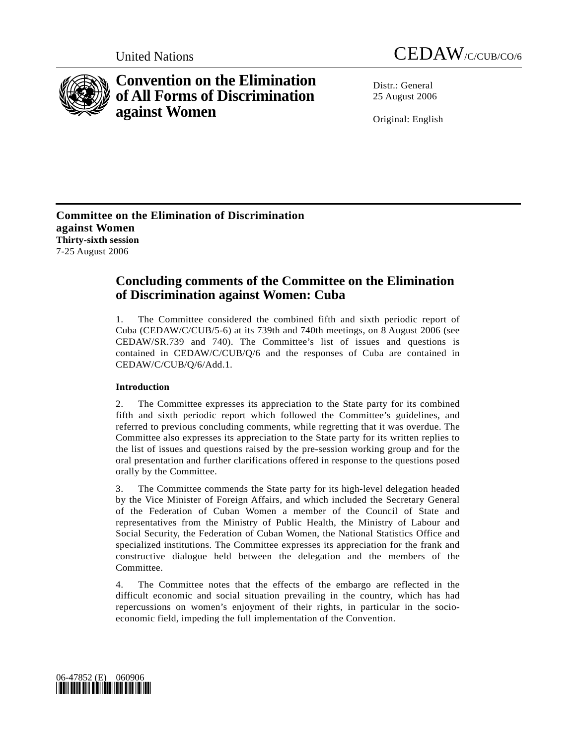



# **Convention on the Elimination of All Forms of Discrimination against Women**

Distr · General 25 August 2006

Original: English

**Committee on the Elimination of Discrimination against Women Thirty-sixth session**  7-25 August 2006

## **Concluding comments of the Committee on the Elimination of Discrimination against Women: Cuba**

1. The Committee considered the combined fifth and sixth periodic report of Cuba (CEDAW/C/CUB/5-6) at its 739th and 740th meetings, on 8 August 2006 (see CEDAW/SR.739 and 740). The Committee's list of issues and questions is contained in CEDAW/C/CUB/Q/6 and the responses of Cuba are contained in CEDAW/C/CUB/Q/6/Add.1.

## **Introduction**

2. The Committee expresses its appreciation to the State party for its combined fifth and sixth periodic report which followed the Committee's guidelines, and referred to previous concluding comments, while regretting that it was overdue. The Committee also expresses its appreciation to the State party for its written replies to the list of issues and questions raised by the pre-session working group and for the oral presentation and further clarifications offered in response to the questions posed orally by the Committee.

3. The Committee commends the State party for its high-level delegation headed by the Vice Minister of Foreign Affairs, and which included the Secretary General of the Federation of Cuban Women a member of the Council of State and representatives from the Ministry of Public Health, the Ministry of Labour and Social Security, the Federation of Cuban Women, the National Statistics Office and specialized institutions. The Committee expresses its appreciation for the frank and constructive dialogue held between the delegation and the members of the Committee.

4. The Committee notes that the effects of the embargo are reflected in the difficult economic and social situation prevailing in the country, which has had repercussions on women's enjoyment of their rights, in particular in the socioeconomic field, impeding the full implementation of the Convention.

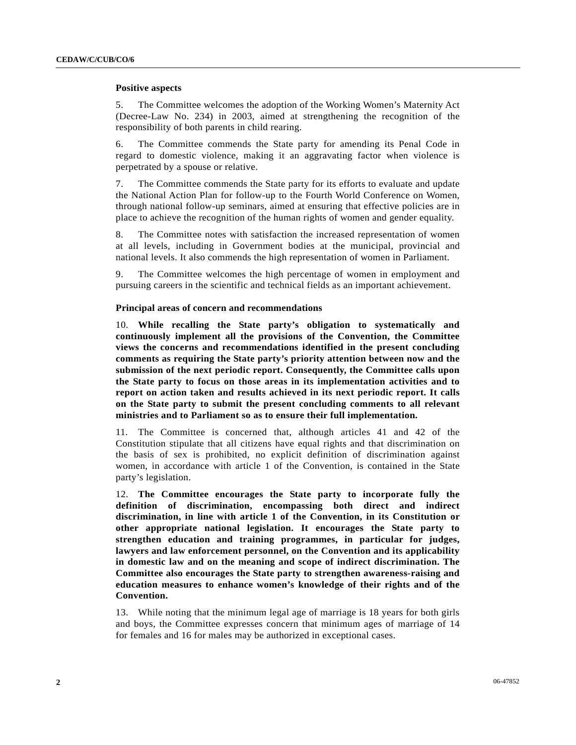### **Positive aspects**

5. The Committee welcomes the adoption of the Working Women's Maternity Act (Decree-Law No. 234) in 2003, aimed at strengthening the recognition of the responsibility of both parents in child rearing.

6. The Committee commends the State party for amending its Penal Code in regard to domestic violence, making it an aggravating factor when violence is perpetrated by a spouse or relative.

7. The Committee commends the State party for its efforts to evaluate and update the National Action Plan for follow-up to the Fourth World Conference on Women, through national follow-up seminars, aimed at ensuring that effective policies are in place to achieve the recognition of the human rights of women and gender equality.

8. The Committee notes with satisfaction the increased representation of women at all levels, including in Government bodies at the municipal, provincial and national levels. It also commends the high representation of women in Parliament.

9. The Committee welcomes the high percentage of women in employment and pursuing careers in the scientific and technical fields as an important achievement.

#### **Principal areas of concern and recommendations**

10. **While recalling the State party's obligation to systematically and continuously implement all the provisions of the Convention, the Committee views the concerns and recommendations identified in the present concluding comments as requiring the State party's priority attention between now and the submission of the next periodic report. Consequently, the Committee calls upon the State party to focus on those areas in its implementation activities and to report on action taken and results achieved in its next periodic report. It calls on the State party to submit the present concluding comments to all relevant ministries and to Parliament so as to ensure their full implementation.**

11. The Committee is concerned that, although articles 41 and 42 of the Constitution stipulate that all citizens have equal rights and that discrimination on the basis of sex is prohibited, no explicit definition of discrimination against women, in accordance with article 1 of the Convention, is contained in the State party's legislation.

12. **The Committee encourages the State party to incorporate fully the definition of discrimination, encompassing both direct and indirect discrimination, in line with article 1 of the Convention, in its Constitution or other appropriate national legislation. It encourages the State party to strengthen education and training programmes, in particular for judges, lawyers and law enforcement personnel, on the Convention and its applicability in domestic law and on the meaning and scope of indirect discrimination. The Committee also encourages the State party to strengthen awareness-raising and education measures to enhance women's knowledge of their rights and of the Convention.**

13. While noting that the minimum legal age of marriage is 18 years for both girls and boys, the Committee expresses concern that minimum ages of marriage of 14 for females and 16 for males may be authorized in exceptional cases.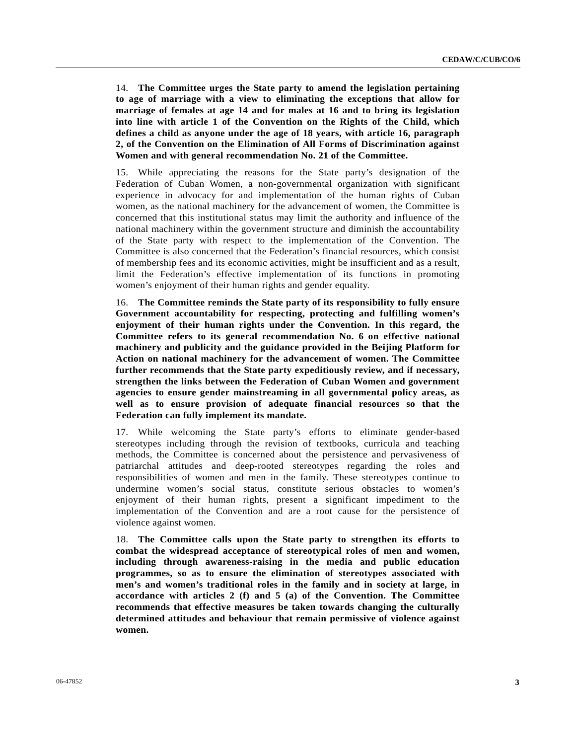14. **The Committee urges the State party to amend the legislation pertaining to age of marriage with a view to eliminating the exceptions that allow for marriage of females at age 14 and for males at 16 and to bring its legislation into line with article 1 of the Convention on the Rights of the Child, which defines a child as anyone under the age of 18 years, with article 16, paragraph 2, of the Convention on the Elimination of All Forms of Discrimination against Women and with general recommendation No. 21 of the Committee.**

15. While appreciating the reasons for the State party's designation of the Federation of Cuban Women, a non-governmental organization with significant experience in advocacy for and implementation of the human rights of Cuban women, as the national machinery for the advancement of women, the Committee is concerned that this institutional status may limit the authority and influence of the national machinery within the government structure and diminish the accountability of the State party with respect to the implementation of the Convention. The Committee is also concerned that the Federation's financial resources, which consist of membership fees and its economic activities, might be insufficient and as a result, limit the Federation's effective implementation of its functions in promoting women's enjoyment of their human rights and gender equality.

16. **The Committee reminds the State party of its responsibility to fully ensure Government accountability for respecting, protecting and fulfilling women's enjoyment of their human rights under the Convention. In this regard, the Committee refers to its general recommendation No. 6 on effective national machinery and publicity and the guidance provided in the Beijing Platform for Action on national machinery for the advancement of women. The Committee further recommends that the State party expeditiously review, and if necessary, strengthen the links between the Federation of Cuban Women and government agencies to ensure gender mainstreaming in all governmental policy areas, as well as to ensure provision of adequate financial resources so that the Federation can fully implement its mandate.**

17. While welcoming the State party's efforts to eliminate gender-based stereotypes including through the revision of textbooks, curricula and teaching methods, the Committee is concerned about the persistence and pervasiveness of patriarchal attitudes and deep-rooted stereotypes regarding the roles and responsibilities of women and men in the family. These stereotypes continue to undermine women's social status, constitute serious obstacles to women's enjoyment of their human rights, present a significant impediment to the implementation of the Convention and are a root cause for the persistence of violence against women.

18. **The Committee calls upon the State party to strengthen its efforts to combat the widespread acceptance of stereotypical roles of men and women, including through awareness-raising in the media and public education programmes, so as to ensure the elimination of stereotypes associated with men's and women's traditional roles in the family and in society at large, in accordance with articles 2 (f) and 5 (a) of the Convention. The Committee recommends that effective measures be taken towards changing the culturally determined attitudes and behaviour that remain permissive of violence against women.**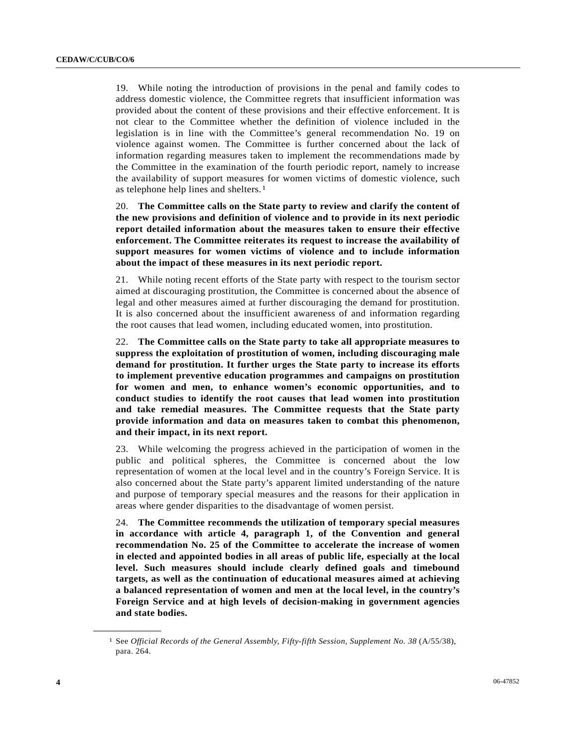19. While noting the introduction of provisions in the penal and family codes to address domestic violence, the Committee regrets that insufficient information was provided about the content of these provisions and their effective enforcement. It is not clear to the Committee whether the definition of violence included in the legislation is in line with the Committee's general recommendation No. 19 on violence against women. The Committee is further concerned about the lack of information regarding measures taken to implement the recommendations made by the Committee in the examination of the fourth periodic report, namely to increase the availability of support measures for women victims of domestic violence, such as telephone help lines and shelters.[1](#page-3-0) 

20. **The Committee calls on the State party to review and clarify the content of the new provisions and definition of violence and to provide in its next periodic report detailed information about the measures taken to ensure their effective enforcement. The Committee reiterates its request to increase the availability of support measures for women victims of violence and to include information about the impact of these measures in its next periodic report.** 

21. While noting recent efforts of the State party with respect to the tourism sector aimed at discouraging prostitution, the Committee is concerned about the absence of legal and other measures aimed at further discouraging the demand for prostitution. It is also concerned about the insufficient awareness of and information regarding the root causes that lead women, including educated women, into prostitution.

22. **The Committee calls on the State party to take all appropriate measures to suppress the exploitation of prostitution of women, including discouraging male demand for prostitution. It further urges the State party to increase its efforts to implement preventive education programmes and campaigns on prostitution for women and men, to enhance women's economic opportunities, and to conduct studies to identify the root causes that lead women into prostitution and take remedial measures. The Committee requests that the State party provide information and data on measures taken to combat this phenomenon, and their impact, in its next report.**

23. While welcoming the progress achieved in the participation of women in the public and political spheres, the Committee is concerned about the low representation of women at the local level and in the country's Foreign Service. It is also concerned about the State party's apparent limited understanding of the nature and purpose of temporary special measures and the reasons for their application in areas where gender disparities to the disadvantage of women persist.

24. **The Committee recommends the utilization of temporary special measures in accordance with article 4, paragraph 1, of the Convention and general recommendation No. 25 of the Committee to accelerate the increase of women in elected and appointed bodies in all areas of public life, especially at the local level. Such measures should include clearly defined goals and timebound targets, as well as the continuation of educational measures aimed at achieving a balanced representation of women and men at the local level, in the country's Foreign Service and at high levels of decision-making in government agencies and state bodies.** 

<span id="page-3-0"></span>**\_\_\_\_\_\_\_\_\_\_\_\_\_\_\_\_\_\_** 

<sup>1</sup> See *Official Records of the General Assembly, Fifty-fifth Session, Supplement No. 38* (A/55/38), para. 264.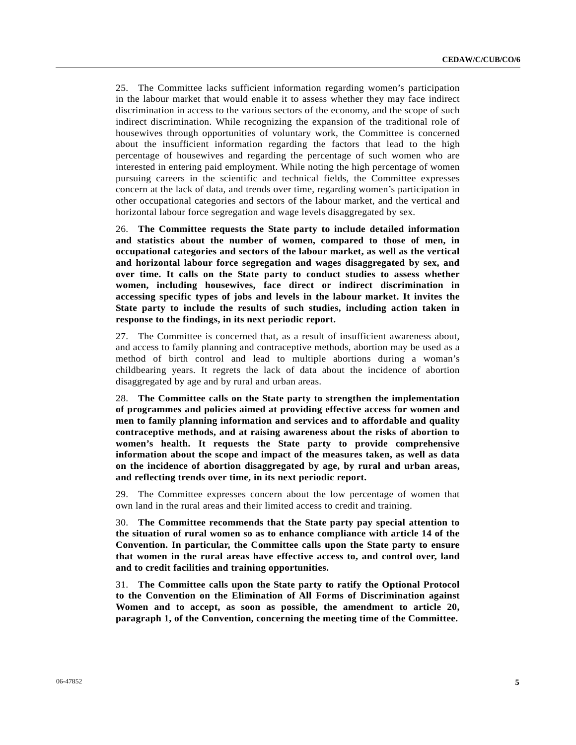25. The Committee lacks sufficient information regarding women's participation in the labour market that would enable it to assess whether they may face indirect discrimination in access to the various sectors of the economy, and the scope of such indirect discrimination. While recognizing the expansion of the traditional role of housewives through opportunities of voluntary work, the Committee is concerned about the insufficient information regarding the factors that lead to the high percentage of housewives and regarding the percentage of such women who are interested in entering paid employment. While noting the high percentage of women pursuing careers in the scientific and technical fields, the Committee expresses concern at the lack of data, and trends over time, regarding women's participation in other occupational categories and sectors of the labour market, and the vertical and horizontal labour force segregation and wage levels disaggregated by sex.

26. **The Committee requests the State party to include detailed information and statistics about the number of women, compared to those of men, in occupational categories and sectors of the labour market, as well as the vertical and horizontal labour force segregation and wages disaggregated by sex, and over time. It calls on the State party to conduct studies to assess whether women, including housewives, face direct or indirect discrimination in accessing specific types of jobs and levels in the labour market. It invites the State party to include the results of such studies, including action taken in response to the findings, in its next periodic report.**

27. The Committee is concerned that, as a result of insufficient awareness about, and access to family planning and contraceptive methods, abortion may be used as a method of birth control and lead to multiple abortions during a woman's childbearing years. It regrets the lack of data about the incidence of abortion disaggregated by age and by rural and urban areas.

28. **The Committee calls on the State party to strengthen the implementation of programmes and policies aimed at providing effective access for women and men to family planning information and services and to affordable and quality contraceptive methods, and at raising awareness about the risks of abortion to women's health. It requests the State party to provide comprehensive information about the scope and impact of the measures taken, as well as data on the incidence of abortion disaggregated by age, by rural and urban areas, and reflecting trends over time, in its next periodic report.**

29. The Committee expresses concern about the low percentage of women that own land in the rural areas and their limited access to credit and training.

30. **The Committee recommends that the State party pay special attention to the situation of rural women so as to enhance compliance with article 14 of the Convention. In particular, the Committee calls upon the State party to ensure that women in the rural areas have effective access to, and control over, land and to credit facilities and training opportunities.**

31. **The Committee calls upon the State party to ratify the Optional Protocol to the Convention on the Elimination of All Forms of Discrimination against Women and to accept, as soon as possible, the amendment to article 20, paragraph 1, of the Convention, concerning the meeting time of the Committee.**